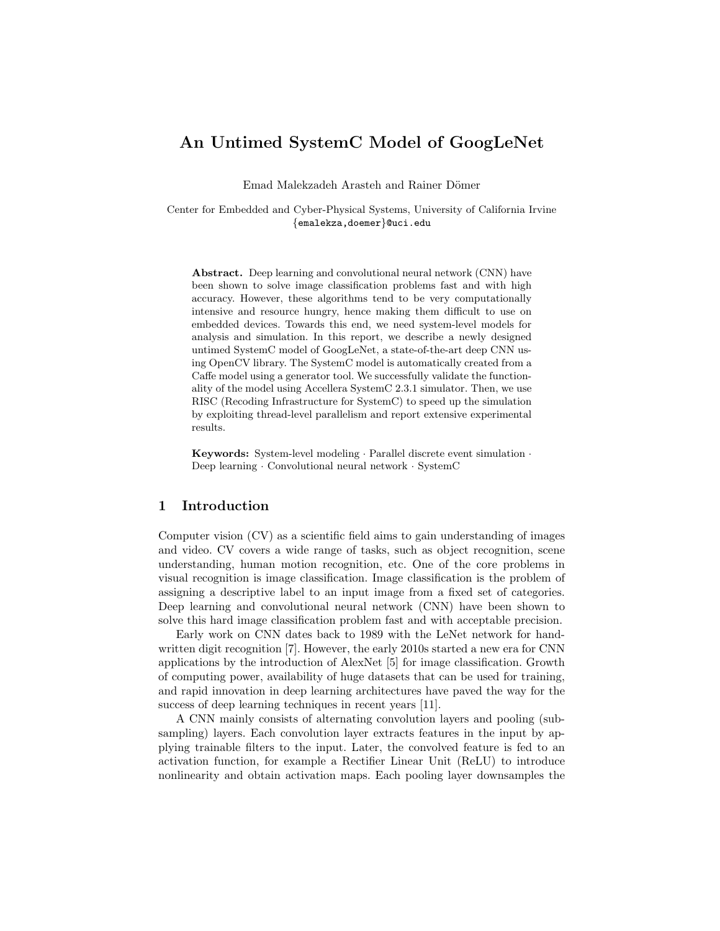# An Untimed SystemC Model of GoogLeNet

Emad Malekzadeh Arasteh and Rainer Dömer

Center for Embedded and Cyber-Physical Systems, University of California Irvine {emalekza,doemer}@uci.edu

Abstract. Deep learning and convolutional neural network (CNN) have been shown to solve image classification problems fast and with high accuracy. However, these algorithms tend to be very computationally intensive and resource hungry, hence making them difficult to use on embedded devices. Towards this end, we need system-level models for analysis and simulation. In this report, we describe a newly designed untimed SystemC model of GoogLeNet, a state-of-the-art deep CNN using OpenCV library. The SystemC model is automatically created from a Caffe model using a generator tool. We successfully validate the functionality of the model using Accellera SystemC 2.3.1 simulator. Then, we use RISC (Recoding Infrastructure for SystemC) to speed up the simulation by exploiting thread-level parallelism and report extensive experimental results.

Keywords: System-level modeling · Parallel discrete event simulation · Deep learning · Convolutional neural network · SystemC

## 1 Introduction

Computer vision (CV) as a scientific field aims to gain understanding of images and video. CV covers a wide range of tasks, such as object recognition, scene understanding, human motion recognition, etc. One of the core problems in visual recognition is image classification. Image classification is the problem of assigning a descriptive label to an input image from a fixed set of categories. Deep learning and convolutional neural network (CNN) have been shown to solve this hard image classification problem fast and with acceptable precision.

Early work on CNN dates back to 1989 with the LeNet network for handwritten digit recognition [7]. However, the early 2010s started a new era for CNN applications by the introduction of AlexNet [5] for image classification. Growth of computing power, availability of huge datasets that can be used for training, and rapid innovation in deep learning architectures have paved the way for the success of deep learning techniques in recent years [11].

A CNN mainly consists of alternating convolution layers and pooling (subsampling) layers. Each convolution layer extracts features in the input by applying trainable filters to the input. Later, the convolved feature is fed to an activation function, for example a Rectifier Linear Unit (ReLU) to introduce nonlinearity and obtain activation maps. Each pooling layer downsamples the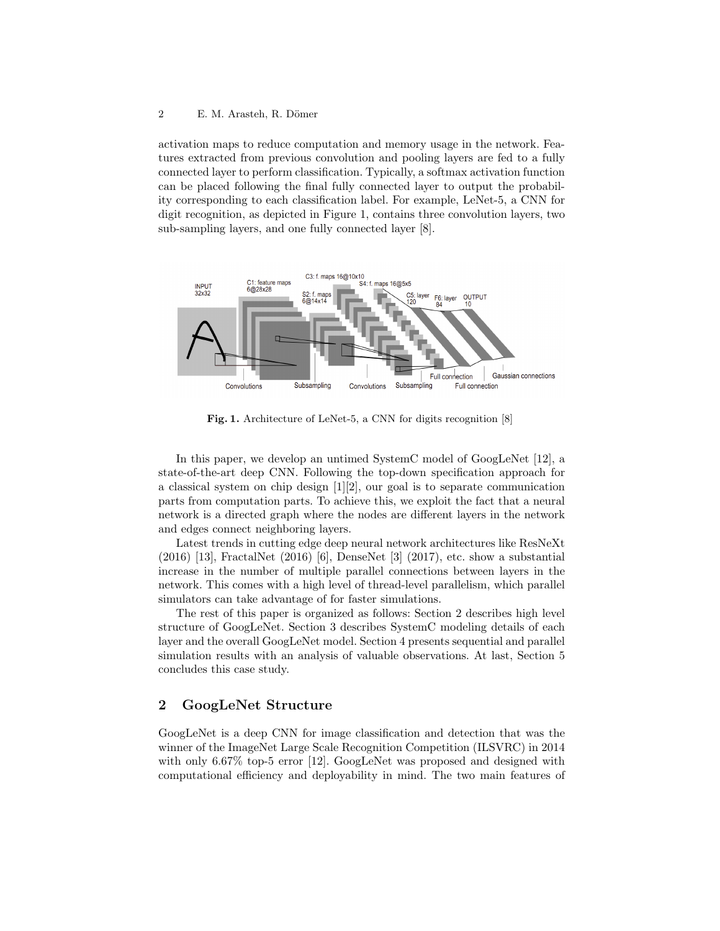activation maps to reduce computation and memory usage in the network. Features extracted from previous convolution and pooling layers are fed to a fully connected layer to perform classification. Typically, a softmax activation function can be placed following the final fully connected layer to output the probability corresponding to each classification label. For example, LeNet-5, a CNN for digit recognition, as depicted in Figure 1, contains three convolution layers, two sub-sampling layers, and one fully connected layer [8].



Fig. 1. Architecture of LeNet-5, a CNN for digits recognition [8]

In this paper, we develop an untimed SystemC model of GoogLeNet [12], a state-of-the-art deep CNN. Following the top-down specification approach for a classical system on chip design [1][2], our goal is to separate communication parts from computation parts. To achieve this, we exploit the fact that a neural network is a directed graph where the nodes are different layers in the network and edges connect neighboring layers.

Latest trends in cutting edge deep neural network architectures like ResNeXt (2016) [13], FractalNet (2016) [6], DenseNet [3] (2017), etc. show a substantial increase in the number of multiple parallel connections between layers in the network. This comes with a high level of thread-level parallelism, which parallel simulators can take advantage of for faster simulations.

The rest of this paper is organized as follows: Section 2 describes high level structure of GoogLeNet. Section 3 describes SystemC modeling details of each layer and the overall GoogLeNet model. Section 4 presents sequential and parallel simulation results with an analysis of valuable observations. At last, Section 5 concludes this case study.

## 2 GoogLeNet Structure

GoogLeNet is a deep CNN for image classification and detection that was the winner of the ImageNet Large Scale Recognition Competition (ILSVRC) in 2014 with only 6.67% top-5 error [12]. GoogLeNet was proposed and designed with computational efficiency and deployability in mind. The two main features of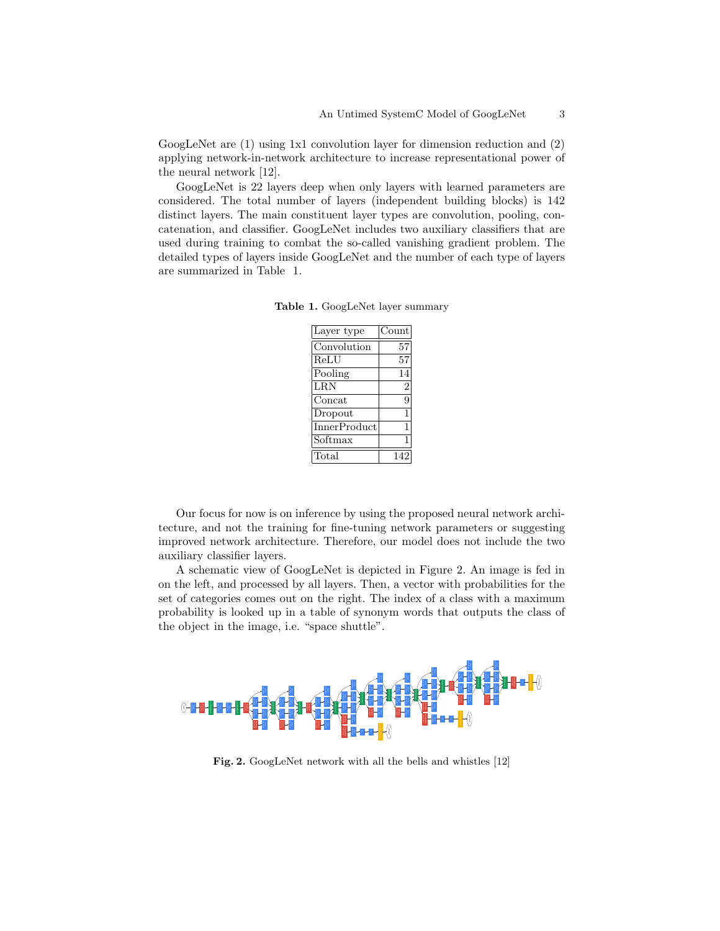GoogLeNet are (1) using 1x1 convolution layer for dimension reduction and (2) applying network-in-network architecture to increase representational power of the neural network [12].

GoogLeNet is 22 layers deep when only layers with learned parameters are considered. The total number of layers (independent building blocks) is 142 distinct layers. The main constituent layer types are convolution, pooling, concatenation, and classifier. GoogLeNet includes two auxiliary classifiers that are used during training to combat the so-called vanishing gradient problem. The detailed types of layers inside GoogLeNet and the number of each type of layers are summarized in Table 1.

| Layer type               | $_{\rm Count}$ |
|--------------------------|----------------|
| Convolution              | 57             |
| ReLU                     | 57             |
| Pooling                  | 14             |
| <b>LRN</b>               | 2              |
| Concat                   | 9              |
| Dropout                  | $\mathbf{1}$   |
| InnerProduct             | 1              |
| $\operatorname{Softmax}$ | 1              |
| Total                    | 142            |

Table 1. GoogLeNet layer summary

Our focus for now is on inference by using the proposed neural network architecture, and not the training for fine-tuning network parameters or suggesting improved network architecture. Therefore, our model does not include the two auxiliary classifier layers.

A schematic view of GoogLeNet is depicted in Figure 2. An image is fed in on the left, and processed by all layers. Then, a vector with probabilities for the set of categories comes out on the right. The index of a class with a maximum probability is looked up in a table of synonym words that outputs the class of the object in the image, i.e. "space shuttle".



Fig. 2. GoogLeNet network with all the bells and whistles [12]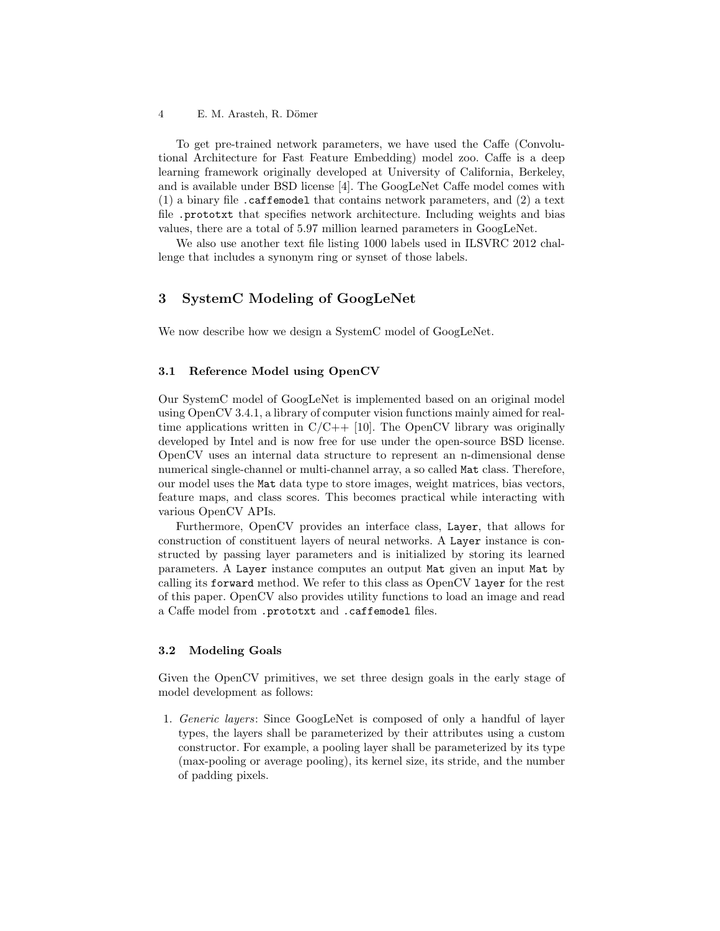To get pre-trained network parameters, we have used the Caffe (Convolutional Architecture for Fast Feature Embedding) model zoo. Caffe is a deep learning framework originally developed at University of California, Berkeley, and is available under BSD license [4]. The GoogLeNet Caffe model comes with (1) a binary file .caffemodel that contains network parameters, and (2) a text file .prototxt that specifies network architecture. Including weights and bias values, there are a total of 5.97 million learned parameters in GoogLeNet.

We also use another text file listing 1000 labels used in ILSVRC 2012 challenge that includes a synonym ring or synset of those labels.

## 3 SystemC Modeling of GoogLeNet

We now describe how we design a SystemC model of GoogLeNet.

#### 3.1 Reference Model using OpenCV

Our SystemC model of GoogLeNet is implemented based on an original model using OpenCV 3.4.1, a library of computer vision functions mainly aimed for realtime applications written in  $C/C++$  [10]. The OpenCV library was originally developed by Intel and is now free for use under the open-source BSD license. OpenCV uses an internal data structure to represent an n-dimensional dense numerical single-channel or multi-channel array, a so called Mat class. Therefore, our model uses the Mat data type to store images, weight matrices, bias vectors, feature maps, and class scores. This becomes practical while interacting with various OpenCV APIs.

Furthermore, OpenCV provides an interface class, Layer, that allows for construction of constituent layers of neural networks. A Layer instance is constructed by passing layer parameters and is initialized by storing its learned parameters. A Layer instance computes an output Mat given an input Mat by calling its forward method. We refer to this class as OpenCV layer for the rest of this paper. OpenCV also provides utility functions to load an image and read a Caffe model from .prototxt and .caffemodel files.

#### 3.2 Modeling Goals

Given the OpenCV primitives, we set three design goals in the early stage of model development as follows:

1. Generic layers: Since GoogLeNet is composed of only a handful of layer types, the layers shall be parameterized by their attributes using a custom constructor. For example, a pooling layer shall be parameterized by its type (max-pooling or average pooling), its kernel size, its stride, and the number of padding pixels.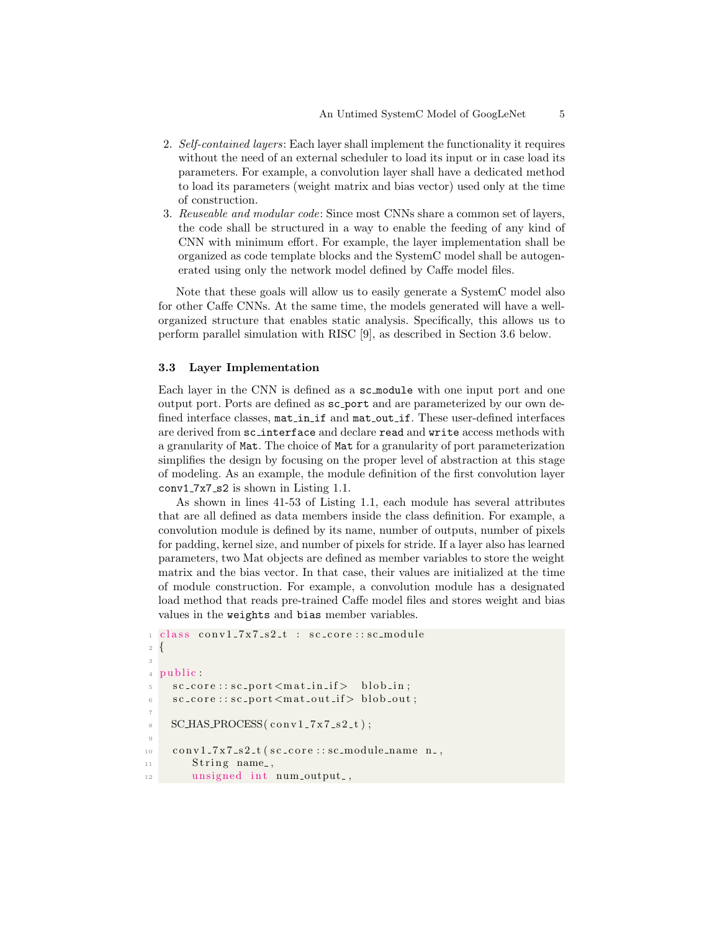- 2. Self-contained layers: Each layer shall implement the functionality it requires without the need of an external scheduler to load its input or in case load its parameters. For example, a convolution layer shall have a dedicated method to load its parameters (weight matrix and bias vector) used only at the time of construction.
- 3. Reuseable and modular code: Since most CNNs share a common set of layers, the code shall be structured in a way to enable the feeding of any kind of CNN with minimum effort. For example, the layer implementation shall be organized as code template blocks and the SystemC model shall be autogenerated using only the network model defined by Caffe model files.

Note that these goals will allow us to easily generate a SystemC model also for other Caffe CNNs. At the same time, the models generated will have a wellorganized structure that enables static analysis. Specifically, this allows us to perform parallel simulation with RISC [9], as described in Section 3.6 below.

### 3.3 Layer Implementation

Each layer in the CNN is defined as a sc module with one input port and one output port. Ports are defined as sc port and are parameterized by our own defined interface classes,  $\text{mat.in}$  if and  $\text{mat.out}$  if. These user-defined interfaces are derived from sc interface and declare read and write access methods with a granularity of Mat. The choice of Mat for a granularity of port parameterization simplifies the design by focusing on the proper level of abstraction at this stage of modeling. As an example, the module definition of the first convolution layer  $conv1_7x7_s2$  is shown in Listing 1.1.

As shown in lines 41-53 of Listing 1.1, each module has several attributes that are all defined as data members inside the class definition. For example, a convolution module is defined by its name, number of outputs, number of pixels for padding, kernel size, and number of pixels for stride. If a layer also has learned parameters, two Mat objects are defined as member variables to store the weight matrix and the bias vector. In that case, their values are initialized at the time of module construction. For example, a convolution module has a designated load method that reads pre-trained Caffe model files and stores weight and bias values in the weights and bias member variables.

```
\frac{1}{1} class conv1_7x7_s2_t : sc_core :: sc_module
2 {
3
4 public :
s = sc\_core::sc\_port <math>\{mat\_in\_if>} blob\_in;\circ sc_core:: sc_port <mat_out_if> blob_out;
7
\text{SC} HAS PROCESS(\text{conv1}_7x7_s2_t);
9
_{10} conv1_7x7_s2_t (sc_core::sc_module_name n_,
11 String name<sub>-</sub>,
12 unsigned int num_output_,
```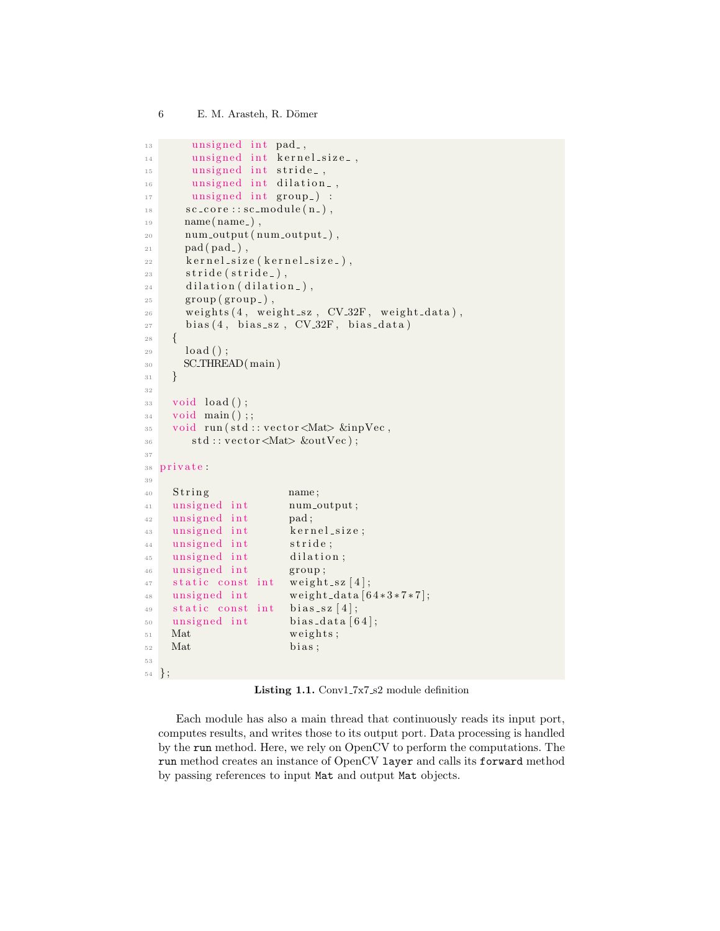```
13 unsigned int pad_,
14 unsigned int kernel_size_,
15 unsigned int stride.,
16 unsigned int dilation.,
17 unsigned int group_) :
18 sc_core :: sc module (n<sub>-</sub>),
_{19} name (name_),
20 num_output (num_output_),
_{21} pad ( pad_),
22 kernel_size(kernel_size_),
23 stride (stride_),
_{24} dilation (dilation ),
25 \qquad \qquad \text{group} ( \text{group}_- ),
v_{26} weights (4, \text{ weight} \text{-} \text{sz}, \text{ CV} \text{-} 32\text{F}, \text{ weight} \text{-} \text{data}),27 bias (4, \text{bias\_sz}, \text{CV\_32F}, \text{bias\_data})28 {
29 load ();
30 SC THREAD( main )
31 }
32
33 void load ();
34 \quad \text{void } \text{main}();
35 void run (std: : vector <Mat> &inpVec,
36 std:: \text{vector} \leq Mat &outVec);
37
38 private:
39
40 String name;
41 unsigned int num_output;
42 unsigned int pad;
43 unsigned int kernel_size;
44 unsigned int stride;
45 unsigned int dilation;
46 unsigned int group;
47 static const int weight_sz [4];
48 unsigned int weight_data [64*3*7*7];
49 static const int bias_sz [4];
_{50} unsigned int bias_data [64];
51 Mat weights;
52 Mat bias;
53
54 } ;
```
Listing 1.1. Conv1\_7x7\_s2 module definition

Each module has also a main thread that continuously reads its input port, computes results, and writes those to its output port. Data processing is handled by the run method. Here, we rely on OpenCV to perform the computations. The run method creates an instance of OpenCV layer and calls its forward method by passing references to input Mat and output Mat objects.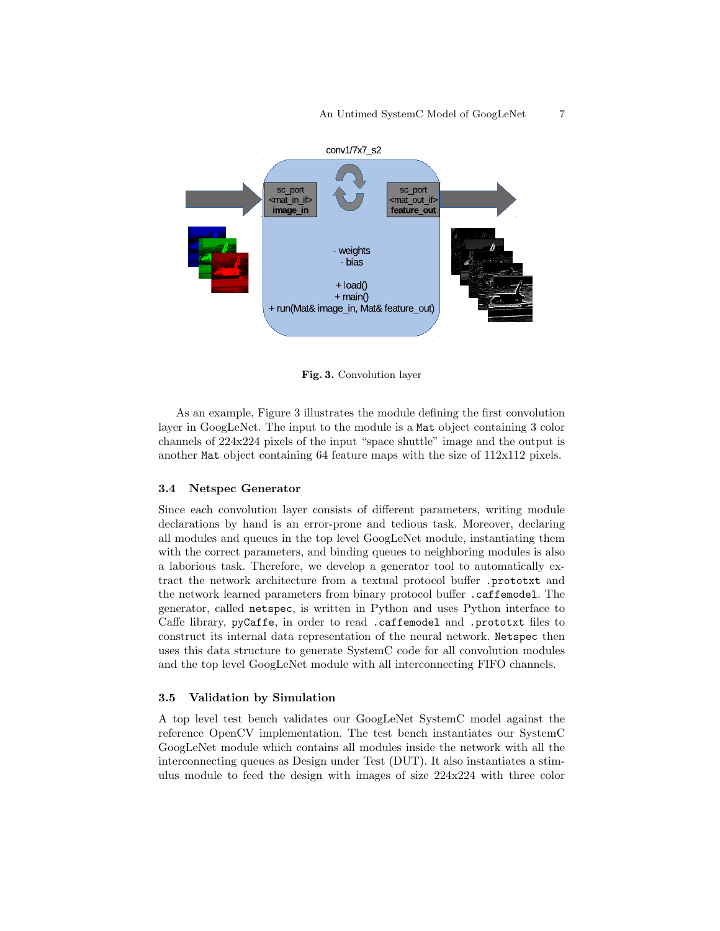

Fig. 3. Convolution layer

As an example, Figure 3 illustrates the module defining the first convolution layer in GoogLeNet. The input to the module is a Mat object containing 3 color channels of 224x224 pixels of the input "space shuttle" image and the output is another Mat object containing 64 feature maps with the size of 112x112 pixels.

#### 3.4 Netspec Generator

Since each convolution layer consists of different parameters, writing module declarations by hand is an error-prone and tedious task. Moreover, declaring all modules and queues in the top level GoogLeNet module, instantiating them with the correct parameters, and binding queues to neighboring modules is also a laborious task. Therefore, we develop a generator tool to automatically extract the network architecture from a textual protocol buffer .prototxt and the network learned parameters from binary protocol buffer .caffemodel. The generator, called netspec, is written in Python and uses Python interface to Caffe library, pyCaffe, in order to read .caffemodel and .prototxt files to construct its internal data representation of the neural network. Netspec then uses this data structure to generate SystemC code for all convolution modules and the top level GoogLeNet module with all interconnecting FIFO channels.

#### 3.5 Validation by Simulation

A top level test bench validates our GoogLeNet SystemC model against the reference OpenCV implementation. The test bench instantiates our SystemC GoogLeNet module which contains all modules inside the network with all the interconnecting queues as Design under Test (DUT). It also instantiates a stimulus module to feed the design with images of size 224x224 with three color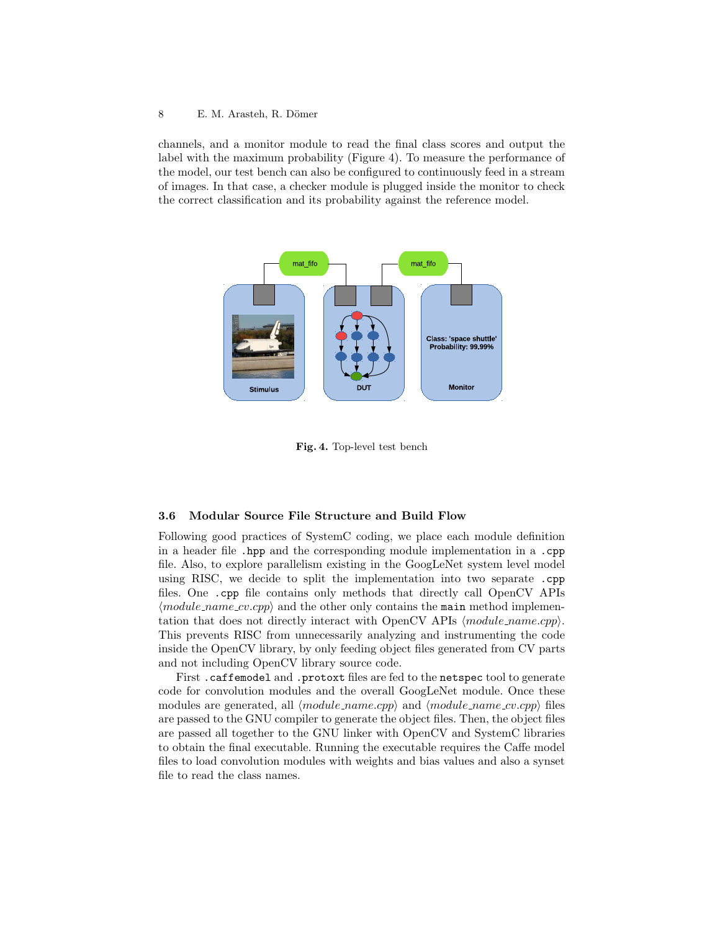channels, and a monitor module to read the final class scores and output the label with the maximum probability (Figure 4). To measure the performance of the model, our test bench can also be configured to continuously feed in a stream of images. In that case, a checker module is plugged inside the monitor to check the correct classification and its probability against the reference model.



Fig. 4. Top-level test bench

#### 3.6 Modular Source File Structure and Build Flow

Following good practices of SystemC coding, we place each module definition in a header file .hpp and the corresponding module implementation in a .cpp file. Also, to explore parallelism existing in the GoogLeNet system level model using RISC, we decide to split the implementation into two separate .cpp files. One .cpp file contains only methods that directly call OpenCV APIs  $\langle module_name\_cv.cpp \rangle$  and the other only contains the main method implementation that does not directly interact with OpenCV APIs  $\langle module\_name.cpp \rangle$ . This prevents RISC from unnecessarily analyzing and instrumenting the code inside the OpenCV library, by only feeding object files generated from CV parts and not including OpenCV library source code.

First .caffemodel and .protoxt files are fed to the netspec tool to generate code for convolution modules and the overall GoogLeNet module. Once these modules are generated, all  $\langle module_name.cpp \rangle$  and  $\langle module_name.cv.cpp \rangle$  files are passed to the GNU compiler to generate the object files. Then, the object files are passed all together to the GNU linker with OpenCV and SystemC libraries to obtain the final executable. Running the executable requires the Caffe model files to load convolution modules with weights and bias values and also a synset file to read the class names.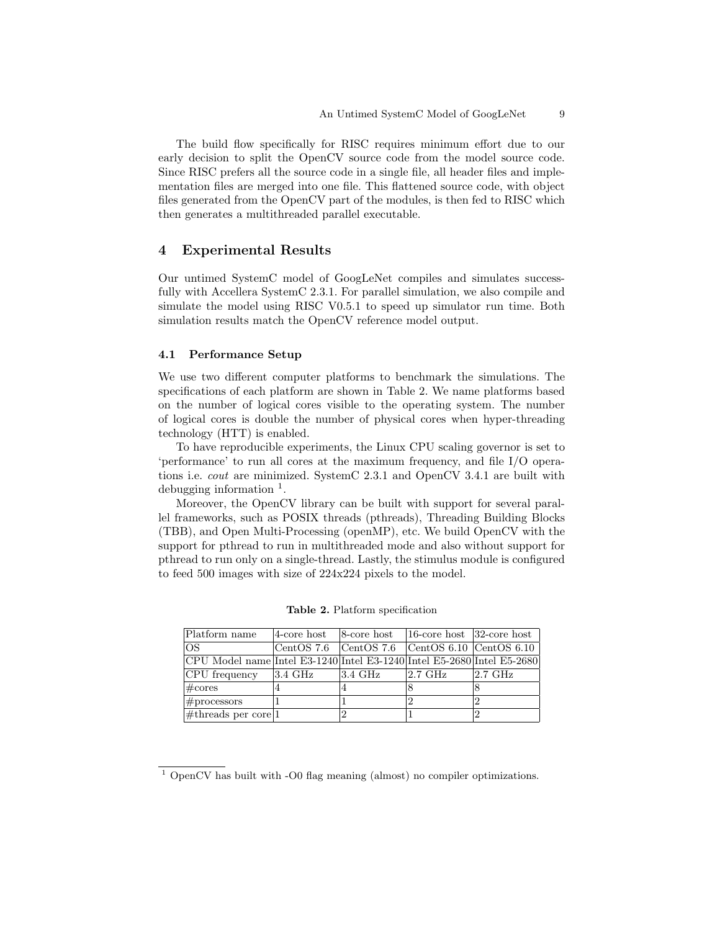The build flow specifically for RISC requires minimum effort due to our early decision to split the OpenCV source code from the model source code. Since RISC prefers all the source code in a single file, all header files and implementation files are merged into one file. This flattened source code, with object files generated from the OpenCV part of the modules, is then fed to RISC which then generates a multithreaded parallel executable.

## 4 Experimental Results

Our untimed SystemC model of GoogLeNet compiles and simulates successfully with Accellera SystemC 2.3.1. For parallel simulation, we also compile and simulate the model using RISC V0.5.1 to speed up simulator run time. Both simulation results match the OpenCV reference model output.

#### 4.1 Performance Setup

We use two different computer platforms to benchmark the simulations. The specifications of each platform are shown in Table 2. We name platforms based on the number of logical cores visible to the operating system. The number of logical cores is double the number of physical cores when hyper-threading technology (HTT) is enabled.

To have reproducible experiments, the Linux CPU scaling governor is set to 'performance' to run all cores at the maximum frequency, and file I/O operations i.e. cout are minimized. SystemC 2.3.1 and OpenCV 3.4.1 are built with debugging information  $<sup>1</sup>$ .</sup>

Moreover, the OpenCV library can be built with support for several parallel frameworks, such as POSIX threads (pthreads), Threading Building Blocks (TBB), and Open Multi-Processing (openMP), etc. We build OpenCV with the support for pthread to run in multithreaded mode and also without support for pthread to run only on a single-thread. Lastly, the stimulus module is configured to feed 500 images with size of 224x224 pixels to the model.

| Platform name                                                          | 4-core host | 8-core host                                           | $16$ -core host $32$ -core host |                   |
|------------------------------------------------------------------------|-------------|-------------------------------------------------------|---------------------------------|-------------------|
| <b>OS</b>                                                              |             | CentOS $7.6$ CentOS $7.6$ CentOS $6.10$ CentOS $6.10$ |                                 |                   |
| CPU Model name Intel E3-1240 Intel E3-1240 Intel E5-2680 Intel E5-2680 |             |                                                       |                                 |                   |
| CPU frequency                                                          | 3.4 GHz     | 3.4 GHz                                               | $2.7\mathrm{~GHz}$              | $2.7 \text{ GHz}$ |
| $\#\text{cores}$                                                       |             |                                                       |                                 |                   |
| #processors                                                            |             |                                                       |                                 |                   |
| $\#$ threads per core 1                                                |             |                                                       |                                 |                   |

Table 2. Platform specification

 $1$  OpenCV has built with -O0 flag meaning (almost) no compiler optimizations.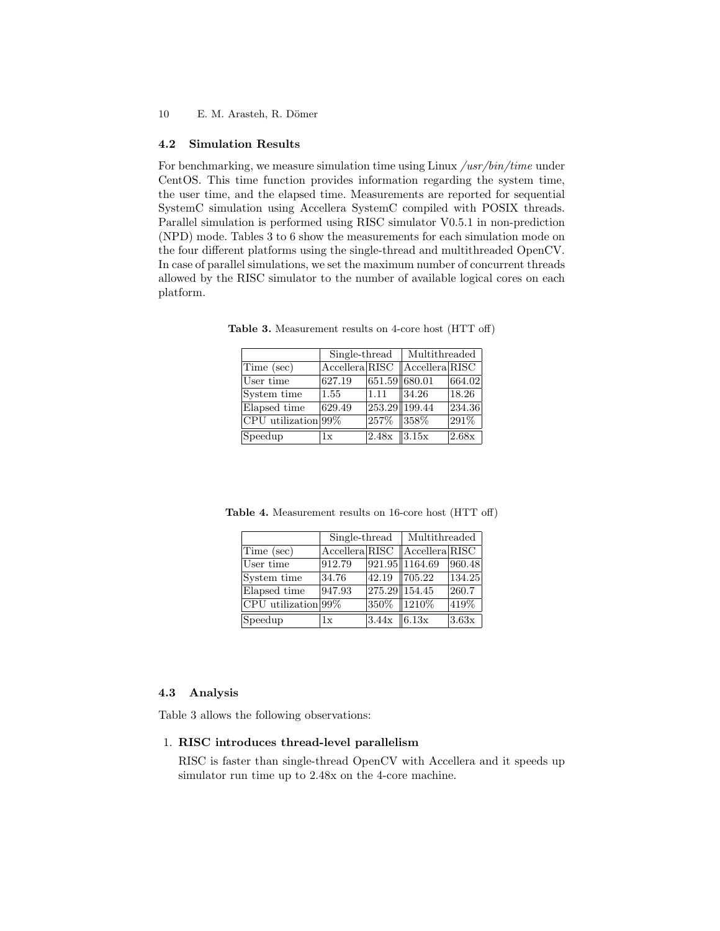#### 4.2 Simulation Results

For benchmarking, we measure simulation time using Linux  $/usr/bin/time$  under CentOS. This time function provides information regarding the system time, the user time, and the elapsed time. Measurements are reported for sequential SystemC simulation using Accellera SystemC compiled with POSIX threads. Parallel simulation is performed using RISC simulator V0.5.1 in non-prediction (NPD) mode. Tables 3 to 6 show the measurements for each simulation mode on the four different platforms using the single-thread and multithreaded OpenCV. In case of parallel simulations, we set the maximum number of concurrent threads allowed by the RISC simulator to the number of available logical cores on each platform.

|                     | Single-thread               |                 | Multithreaded           |        |
|---------------------|-----------------------------|-----------------|-------------------------|--------|
| Time (sec)          | $ {\text{Accellera}} $ RISC |                 | $\ $ Accellera $ $ RISC |        |
| User time           | 627.19                      | 651.59  680.01  |                         | 664.02 |
| System time         | 1.55                        | 1.11            | 34.26                   | 18.26  |
| Elapsed time        | $\sqrt{629.49}$             | 253.29 199.44   |                         | 234.36 |
| CPU utilization 99% |                             | 257% 358%       |                         | 291\%  |
| Speedup             | 1x                          | $2.48x$   3.15x |                         | 2.68x  |

Table 3. Measurement results on 4-core host (HTT off)

Table 4. Measurement results on 16-core host (HTT off)

|                     | Single-thread  |                  | Multithreaded                           |        |
|---------------------|----------------|------------------|-----------------------------------------|--------|
| Time (sec)          | Accellera RISC |                  | $\ $ Accellera $\overline{\text{RISC}}$ |        |
| User time           | 912.79         |                  | 921.95 1164.69                          | 960.48 |
| System time         | 34.76          |                  | 42.19 705.22                            | 134.25 |
| Elapsed time        | 947.93         | $275.29$ 154.45  |                                         | 260.7  |
| CPU utilization 99% |                | $350\%$ 1210\%   |                                         | 419%   |
| Speedup             | 1x             | $3.44x$ $ 6.13x$ |                                         | 3.63x  |

#### 4.3 Analysis

Table 3 allows the following observations:

#### 1. RISC introduces thread-level parallelism

RISC is faster than single-thread OpenCV with Accellera and it speeds up simulator run time up to 2.48x on the 4-core machine.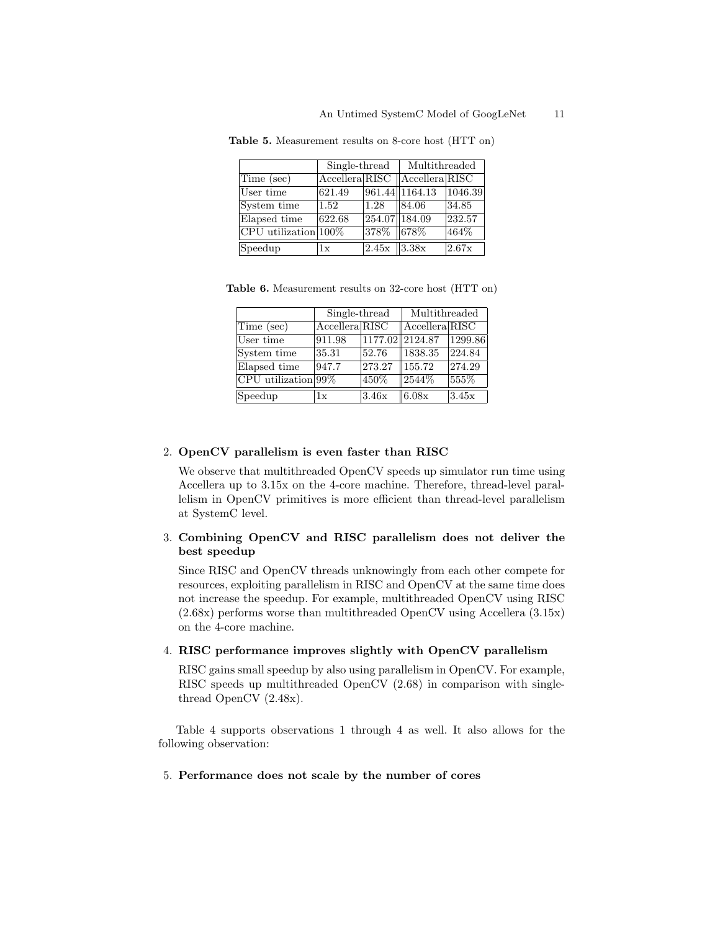|                      | Single-thread |                | Multithreaded                 |         |
|----------------------|---------------|----------------|-------------------------------|---------|
| Time (sec)           |               |                | Accellera RISC Accellera RISC |         |
| User time            | 621.49        |                | 961.44 1164.13                | 1046.39 |
| System time          | 1.52          | $ 1.28\rangle$ | 84.06                         | 34.85   |
| Elapsed time         | 622.68        | 254.07 184.09  |                               | 232.57  |
| CPU utilization 100% |               | 378% 678%      |                               | 464\%   |
| Speedup              | 1x            | $2.45x$ 3.38x  |                               | 2.67x   |

Table 5. Measurement results on 8-core host (HTT on)

Table 6. Measurement results on 32-core host (HTT on)

|                     | Single-thread  |                            | Multithreaded           |         |
|---------------------|----------------|----------------------------|-------------------------|---------|
| Time (sec)          | Accellera RISC |                            | $  $ Accellera $ $ RISC |         |
| User time           | 911.98         | $\sqrt{1177.02 \ 212}4.87$ |                         | 1299.86 |
| System time         | 35.31          | 52.76                      | 1838.35                 | 224.84  |
| Elapsed time        | 947.7          | 273.27                     | $\parallel$ 155.72      | 274.29  |
| CPU utilization 99% |                | 450\%                      | $\ 2544\%$              | 555%    |
| Speedup             | 1x             | 3.46x                      | 6.08x                   | 3.45x   |

#### 2. OpenCV parallelism is even faster than RISC

We observe that multithreaded OpenCV speeds up simulator run time using Accellera up to 3.15x on the 4-core machine. Therefore, thread-level parallelism in OpenCV primitives is more efficient than thread-level parallelism at SystemC level.

## 3. Combining OpenCV and RISC parallelism does not deliver the best speedup

Since RISC and OpenCV threads unknowingly from each other compete for resources, exploiting parallelism in RISC and OpenCV at the same time does not increase the speedup. For example, multithreaded OpenCV using RISC (2.68x) performs worse than multithreaded OpenCV using Accellera (3.15x) on the 4-core machine.

### 4. RISC performance improves slightly with OpenCV parallelism

RISC gains small speedup by also using parallelism in OpenCV. For example, RISC speeds up multithreaded OpenCV (2.68) in comparison with singlethread OpenCV (2.48x).

Table 4 supports observations 1 through 4 as well. It also allows for the following observation:

## 5. Performance does not scale by the number of cores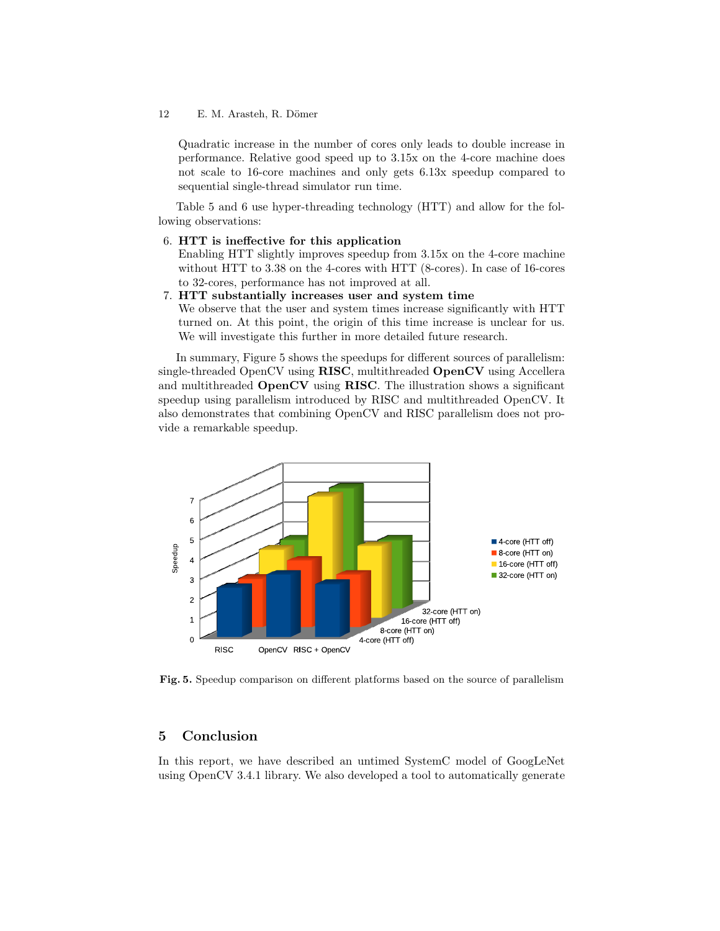Quadratic increase in the number of cores only leads to double increase in performance. Relative good speed up to 3.15x on the 4-core machine does not scale to 16-core machines and only gets 6.13x speedup compared to sequential single-thread simulator run time.

Table 5 and 6 use hyper-threading technology (HTT) and allow for the following observations:

#### 6. HTT is ineffective for this application

Enabling HTT slightly improves speedup from 3.15x on the 4-core machine without HTT to 3.38 on the 4-cores with HTT (8-cores). In case of 16-cores to 32-cores, performance has not improved at all.

#### 7. HTT substantially increases user and system time

We observe that the user and system times increase significantly with HTT turned on. At this point, the origin of this time increase is unclear for us. We will investigate this further in more detailed future research.

In summary, Figure 5 shows the speedups for different sources of parallelism: single-threaded OpenCV using RISC, multithreaded OpenCV using Accellera and multithreaded OpenCV using RISC. The illustration shows a significant speedup using parallelism introduced by RISC and multithreaded OpenCV. It also demonstrates that combining OpenCV and RISC parallelism does not provide a remarkable speedup.



Fig. 5. Speedup comparison on different platforms based on the source of parallelism

## 5 Conclusion

In this report, we have described an untimed SystemC model of GoogLeNet using OpenCV 3.4.1 library. We also developed a tool to automatically generate